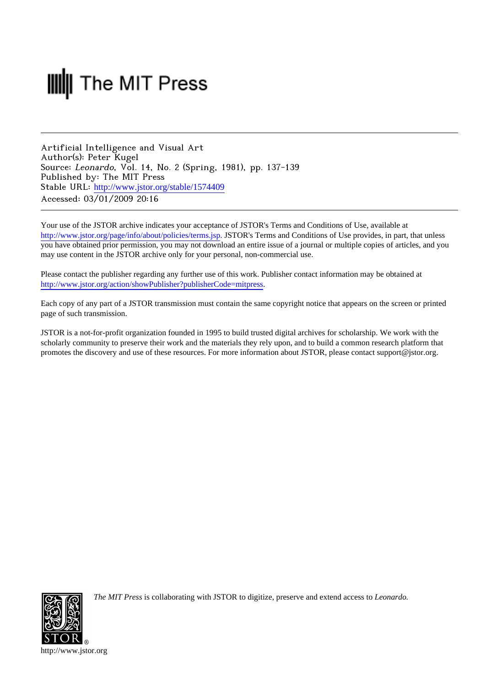# **III** The MIT Press

Artificial Intelligence and Visual Art Author(s): Peter Kugel Source: Leonardo, Vol. 14, No. 2 (Spring, 1981), pp. 137-139 Published by: The MIT Press Stable URL: [http://www.jstor.org/stable/1574409](http://www.jstor.org/stable/1574409?origin=JSTOR-pdf) Accessed: 03/01/2009 20:16

Your use of the JSTOR archive indicates your acceptance of JSTOR's Terms and Conditions of Use, available at <http://www.jstor.org/page/info/about/policies/terms.jsp>. JSTOR's Terms and Conditions of Use provides, in part, that unless you have obtained prior permission, you may not download an entire issue of a journal or multiple copies of articles, and you may use content in the JSTOR archive only for your personal, non-commercial use.

Please contact the publisher regarding any further use of this work. Publisher contact information may be obtained at [http://www.jstor.org/action/showPublisher?publisherCode=mitpress.](http://www.jstor.org/action/showPublisher?publisherCode=mitpress)

Each copy of any part of a JSTOR transmission must contain the same copyright notice that appears on the screen or printed page of such transmission.

JSTOR is a not-for-profit organization founded in 1995 to build trusted digital archives for scholarship. We work with the scholarly community to preserve their work and the materials they rely upon, and to build a common research platform that promotes the discovery and use of these resources. For more information about JSTOR, please contact support@jstor.org.



*The MIT Press* is collaborating with JSTOR to digitize, preserve and extend access to *Leonardo.*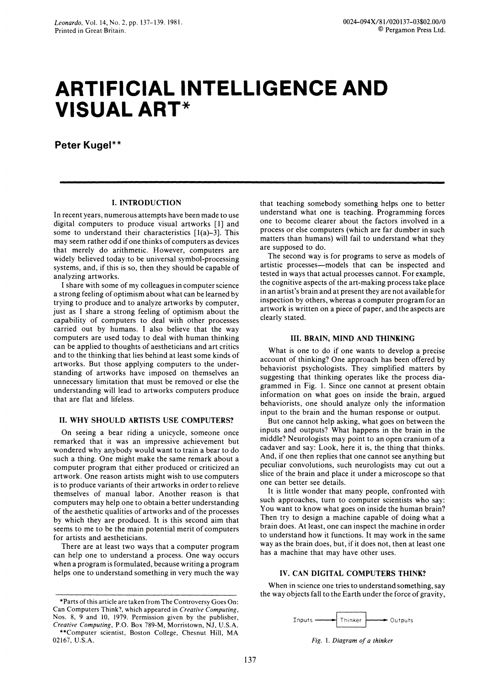# **ARTIFICIAL INTELLIGENCE AND VISUAL ART\***

**Peter Kugel\*\*** 

# **I. INTRODUCTION**

**In recent years, numerous attempts have been made to use digital computers to produce visual artworks [1] and some to understand their characteristics [l(a)-3]. This may seem rather odd if one thinks of computers as devices that merely do arithmetic. However, computers are widely believed today to be universal symbol-processing systems, and, if this is so, then they should be capable of analyzing artworks.** 

**I share with some of my colleagues in computer science a strong feeling of optimism about what can be learned by trying to produce and to analyze artworks by computer, just as I share a strong feeling of optimism about the capability of computers to deal with other processes carried out by humans. I also believe that the way computers are used today to deal with human thinking can be applied to thoughts of aestheticians and art critics and to the thinking that lies behind at least some kinds of artworks. But those applying computers to the understanding of artworks have imposed on themselves an unnecessary limitation that must be removed or else the understanding will lead to artworks computers produce that are flat and lifeless.** 

# **II. WHY SHOULD ARTISTS USE COMPUTERS?**

**On seeing a bear riding a unicycle, someone once remarked that it was an impressive achievement but wondered why anybody would want to train a bear to do such a thing. One might make the same remark about a computer program that either produced or criticized an artwork. One reason artists might wish to use computers is to produce variants of their artworks in order to relieve themselves of manual labor. Another reason is that computers may help one to obtain a better understanding of the aesthetic qualities of artworks and of the processes by which they are produced. It is this second aim that seems to me to be the main potential merit of computers for artists and aestheticians.** 

**There are at least two ways that a computer program can help one to understand a process. One way occurs when a program is formulated, because writing a program helps one to understand something in very much the way**  **that teaching somebody something helps one to better understand what one is teaching. Programming forces one to become clearer about the factors involved in a process or else computers (which are far dumber in such matters than humans) will fail to understand what they are supposed to do.** 

**The second way is for programs to serve as models of artistic processes-models that can be inspected and tested in ways that actual processes cannot. For example, the cognitive aspects of the art-making process take place in an artist's brain and at present they are not available for inspection by others, whereas a computer program for an artwork is written on a piece of paper, and the aspects are clearly stated.** 

#### **III. BRAIN, MIND AND THINKING**

**What is one to do if one wants to develop a precise account of thinking? One approach has been offered by behaviorist psychologists. They simplified matters by suggesting that thinking operates like the process diagrammed in Fig. 1. Since one cannot at present obtain information on what goes on inside the brain, argued behaviorists, one should analyze only the information input to the brain and the human response or output.** 

**But one cannot help asking, what goes on between the inputs and outputs? What happens in the brain in the middle? Neurologists may point to an open cranium of a cadaver and say: Look, here it is, the thing that thinks. And, if one then replies that one cannot see anything but peculiar convolutions, such neurologists may cut out a slice of the brain and place it under a microscope so that one can better see details.** 

**It is little wonder that many people, confronted with such approaches, turn to computer scientists who say: You want to know what goes on inside the human brain? Then try to design a machine capable of doing what a brain does. At least, one can inspect the machine in order to understand how it functions. It may work in the same way as the brain does, but, if it does not, then at least one has a machine that may have other uses.** 

# **IV. CAN DIGITAL COMPUTERS THINK?**

**When in science one tries to understand something, say the way objects fall to the Earth under the force of gravity,** 



**Fig. 1. Diagram of a thinker** 

**<sup>\*</sup>Parts of this article are taken from The Controversy Goes On: Can Computers Think?, which appeared in Creative Computing, Nos. 8, 9 and 10, 1979. Permission given by the publisher, Creative Computing, P.O. Box 789-M, Morristown, NJ, U.S.A. \*\*Computer scientist, Boston College, Chesnut Hill, MA 02167, U.S.A.**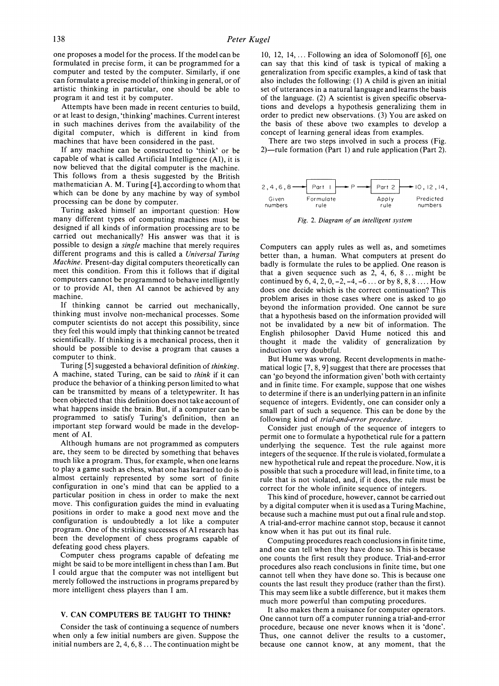**one proposes a model for the process. If the model can be formulated in precise form, it can be programmed for a computer and tested by the computer. Similarly, if one can formulate a precise model of thinking in general, or of artistic thinking in particular, one should be able to program it and test it by computer.** 

**Attempts have been made in recent centuries to build, or at least to design, 'thinking' machines. Current interest in such machines derives from the availability of the digital computer, which is different in kind from machines that have been considered in the past.** 

**If any machine can be constructed to 'think' or be capable of what is called Artificial Intelligence (AI), it is now believed that the digital computer is the machine. This follows from a thesis suggested by the British mathematician A. M. Turing [4], according to whom that which can be done by any machine by way of symbol processing can be done by computer.** 

**Turing asked himself an important question: How many different types of computing machines must be designed if all kinds of information processing are to be carried out mechanically? His answer was that it is possible to design a single machine that merely requires different programs and this is called a Universal Turing Machine. Present-day digital computers theoretically can meet this condition. From this it follows that if digital computers cannot be programmed to behave intelligently or to provide AI, then AI cannot be achieved by any machine.** 

**If thinking cannot be carried out mechanically, thinking must involve non-mechanical processes. Some computer scientists do not accept this possibility, since they feel this would imply that thinking cannot be treated scientifically. If thinking is a mechanical process, then it should be possible to devise a program that causes a computer to think.** 

**Turing [5] suggested a behavioral definition of thinking. A machine, stated Turing, can be said to think if it can produce the behavior of a thinking person limited to what can be transmitted by means of a teletypewriter. It has been objected that this definition does not take account of what happens inside the brain. But, if a computer can be programmed to satisfy Turing's definition, then an important step forward would be made in the development of AI.** 

**Although humans are not programmed as computers are, they seem to be directed by something that behaves much like a program. Thus, for example, when one learns to play a game such as chess, what one has learned to do is almost certainly represented by some sort of finite configuration in one's mind that can be applied to a particular position in chess in order to make the next move. This configuration guides the mind in evaluating positions in order to make a good next move and the configuration is undoubtedly a lot like a computer program. One of the striking successes of AI research has been the development of chess programs capable of defeating good chess players.** 

**Computer chess programs capable of defeating me might be said to be more intelligent in chess than I am. But I could argue that the computer was not intelligent but merely followed the instructions in programs prepared by more intelligent chess players than I am.** 

### **V. CAN COMPUTERS BE TAUGHT TO THINK?**

**Consider the task of continuing a sequence of numbers when only a few initial numbers are given. Suppose the initial numbers are 2, 4, 6, 8 ... The continuation might be** 

**10, 12, 14,... Following an idea of Solomonoff [6], one can say that this kind of task is typical of making a generalization from specific examples, a kind of task that also includes the following: (1) A child is given an initial set of utterances in a natural language and learns the basis of the language. (2) A scientist is given specific observations and develops a hypothesis generalizing them in order to predict new observations. (3) You are asked on the basis of these above two examples to develop a concept of learning general ideas from examples.** 

**There are two steps involved in such a process (Fig. 2)-rule formation (Part 1) and rule application (Part 2).** 



**Fig. 2. Diagram of an intelligent system** 

**Computers can apply rules as well as, and sometimes better than, a human. What computers at present do badly is formulate the rules to be applied. One reason is that a given sequence such as 2, 4, 6, 8 ... might be continued by 6, 4, 2, 0, -2, -4, -6 ... or by 8, 8, 8 .... How does one decide which is the correct continuation? This problem arises in those cases where one is asked to go beyond the information provided. One cannot be sure that a hypothesis based on the information provided will not be invalidated by a new bit of information. The English philosopher David Hume noticed this and thought it made the validity of generalization by induction very doubtful.** 

**But Hume was wrong. Recent developments in mathematical logic [7, 8, 9] suggest that there are processes that can 'go beyond the information given' both with certainty and in finite time. For example, suppose that one wishes to determine if there is an underlying pattern in an infinite sequence of integers. Evidently, one can consider only a small part of such a sequence. This can be done by the following kind of trial-and-error procedure.** 

**Consider just enough of the sequence of integers to permit one to formulate a hypothetical rule for a pattern underlying the sequence. Test the rule against more integers of the sequence. If the rule is violated, formulate a new hypothetical rule and repeat the procedure. Now, it is possible that such a procedure will lead, in finite time, to a rule that is not violated, and, if it does, the rule must be correct for the whole infinite sequence of integers.** 

**This kind of procedure, however, cannot be carried out by a digital computer when it is used as a Turing Machine, because such a machine must put out a final rule and stop. A trial-and-error machine cannot stop, because it cannot know when it has put out its final rule.** 

**Computing procedures reach conclusions in finite time, and one can tell when they have done so. This is because one counts the first result they produce. Trial-and-error procedures also reach conclusions in finite time, but one cannot tell when they have done so. This is because one counts the last result they produce (rather than the first). This may seem like a subtle difference, but it makes them much more powerful than computing procedures.** 

**It also makes them a nuisance for computer operators. One cannot turn off a computer running a trial-and-error procedure, because one never knows when it is 'done'. Thus, one cannot deliver the results to a customer, because one cannot know, at any moment, that the**